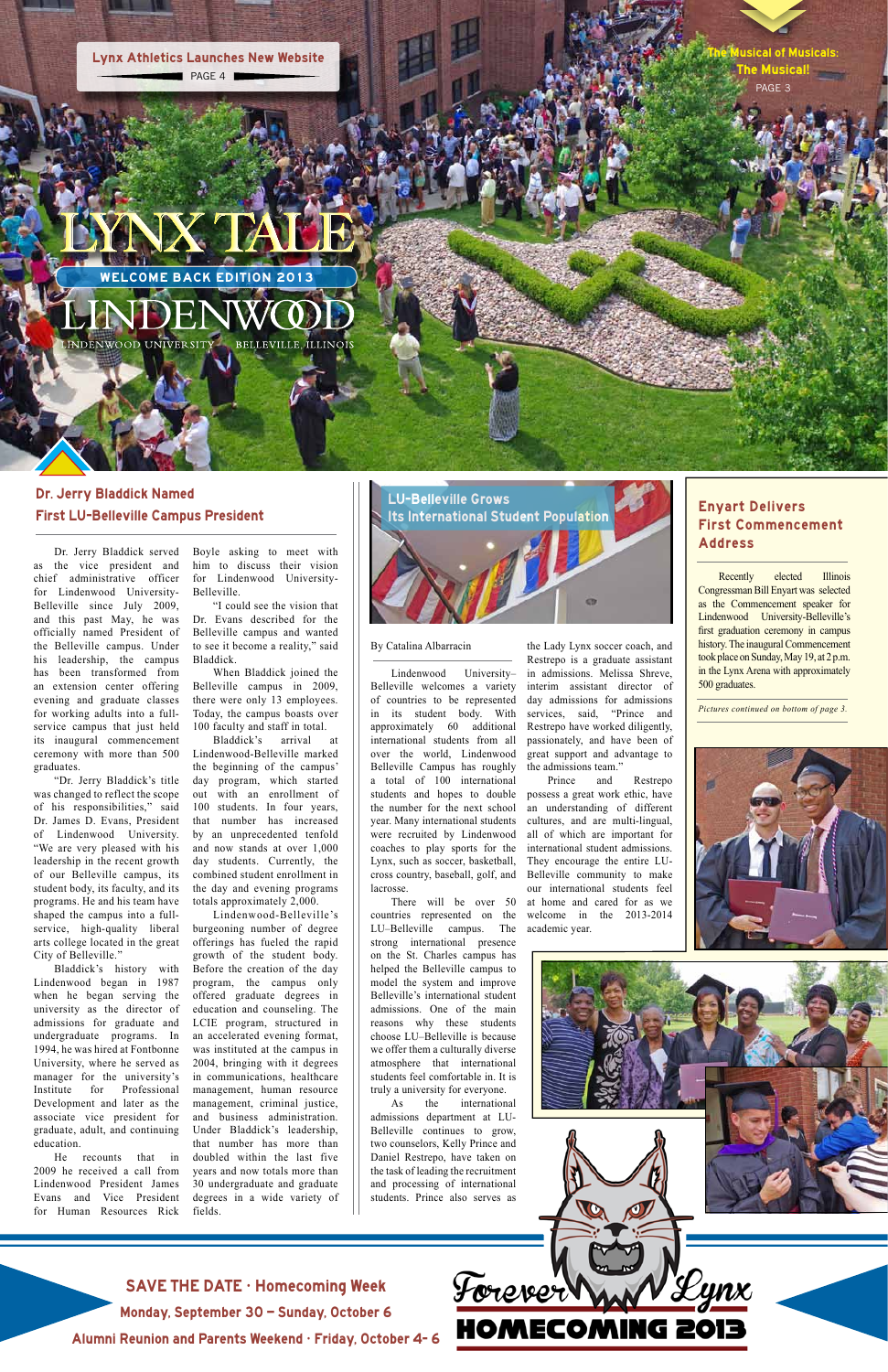the Lady Lynx soccer coach, and Restrepo is a graduate assistant in admissions. Melissa Shreve, interim assistant director of day admissions for admissions services, said, "Prince and Restrepo have worked diligently, passionately, and have been of great support and advantage to the admissions team."

Prince and Restrepo possess a great work ethic, have an understanding of different cultures, and are multi-lingual, all of which are important for international student admissions. They encourage the entire LU-Belleville community to make our international students feel at home and cared for as we welcome in the 2013-2014 academic year.

HOMECOMING 2013

Boyle asking to meet with him to discuss their vision for Lindenwood University-Belleville.

"I could see the vision that Dr. Evans described for the Belleville campus and wanted to see it become a reality," said Bladdick.

When Bladdick joined the Belleville campus in 2009, there were only 13 employees. Today, the campus boasts over 100 faculty and staff in total.

Bladdick's arrival at Lindenwood-Belleville marked the beginning of the campus' day program, which started out with an enrollment of 100 students. In four years, that number has increased by an unprecedented tenfold and now stands at over 1,000 day students. Currently, the combined student enrollment in the day and evening programs totals approximately 2,000.

Lindenwood-Belleville's burgeoning number of degree offerings has fueled the rapid growth of the student body. Before the creation of the day program, the campus only offered graduate degrees in education and counseling. The LCIE program, structured in an accelerated evening format, was instituted at the campus in 2004, bringing with it degrees in communications, healthcare management, human resource management, criminal justice, and business administration. Under Bladdick's leadership, that number has more than doubled within the last five years and now totals more than 30 undergraduate and graduate degrees in a wide variety of fields.

WELCOME BACK EDITION 2013

LYNX TALE

**BELLEVILLE, ILLINOIS** NDENWOOD UNIVERSITY

# Dr. Jerry Bladdick Named First LU-Belleville Campus President

Dr. Jerry Bladdick served as the vice president and chief administrative officer for Lindenwood University-Belleville since July 2009, and this past May, he was officially named President of the Belleville campus. Under his leadership, the campus has been transformed from an extension center offering evening and graduate classes for working adults into a fullservice campus that just held its inaugural commencement ceremony with more than 500 graduates.

"Dr. Jerry Bladdick's title was changed to reflect the scope of his responsibilities," said Dr. James D. Evans, President of Lindenwood University. "We are very pleased with his leadership in the recent growth of our Belleville campus, its student body, its faculty, and its programs. He and his team have shaped the campus into a fullservice, high-quality liberal arts college located in the great City of Belleville."

Bladdick's history with Lindenwood began in 1987 when he began serving the university as the director of admissions for graduate and undergraduate programs. In 1994, he was hired at Fontbonne University, where he served as manager for the university's Institute for Professional Development and later as the associate vice president for graduate, adult, and continuing education.

He recounts that in 2009 he received a call from Lindenwood President James Evans and Vice President for Human Resources Rick



Lynx Athletics Launches New Website

PAGE 3 **Iusical of Musicals:** PAGE 4 **The Musical!** 

# Enyart Delivers First Commencement Address

Recently elected Illinois Congressman Bill Enyart was selected as the Commencement speaker for Lindenwood University-Belleville's first graduation ceremony in campus history. The inaugural Commencement took place on Sunday, May 19, at 2 p.m. in the Lynx Arena with approximately 500 graduates.

*Pictures continued on bottom of page 3.*





Yynx

SAVE THE DATE • Homecoming Week

Monday, September 30 – Sunday, October 6

Alumni Reunion and Parents Weekend • Friday, October 4- 6



#### By Catalina Albarracin

Lindenwood University– Belleville welcomes a variety of countries to be represented in its student body. With approximately 60 additional international students from all over the world, Lindenwood Belleville Campus has roughly a total of 100 international students and hopes to double the number for the next school year. Many international students were recruited by Lindenwood coaches to play sports for the Lynx, such as soccer, basketball, cross country, baseball, golf, and lacrosse.

There will be over 50 countries represented on the LU–Belleville campus. The strong international presence on the St. Charles campus has helped the Belleville campus to model the system and improve Belleville's international student admissions. One of the main reasons why these students choose LU–Belleville is because we offer them a culturally diverse atmosphere that international students feel comfortable in. It is truly a university for everyone. As the international admissions department at LU-Belleville continues to grow, two counselors, Kelly Prince and Daniel Restrepo, have taken on the task of leading the recruitment and processing of international students. Prince also serves as

Forever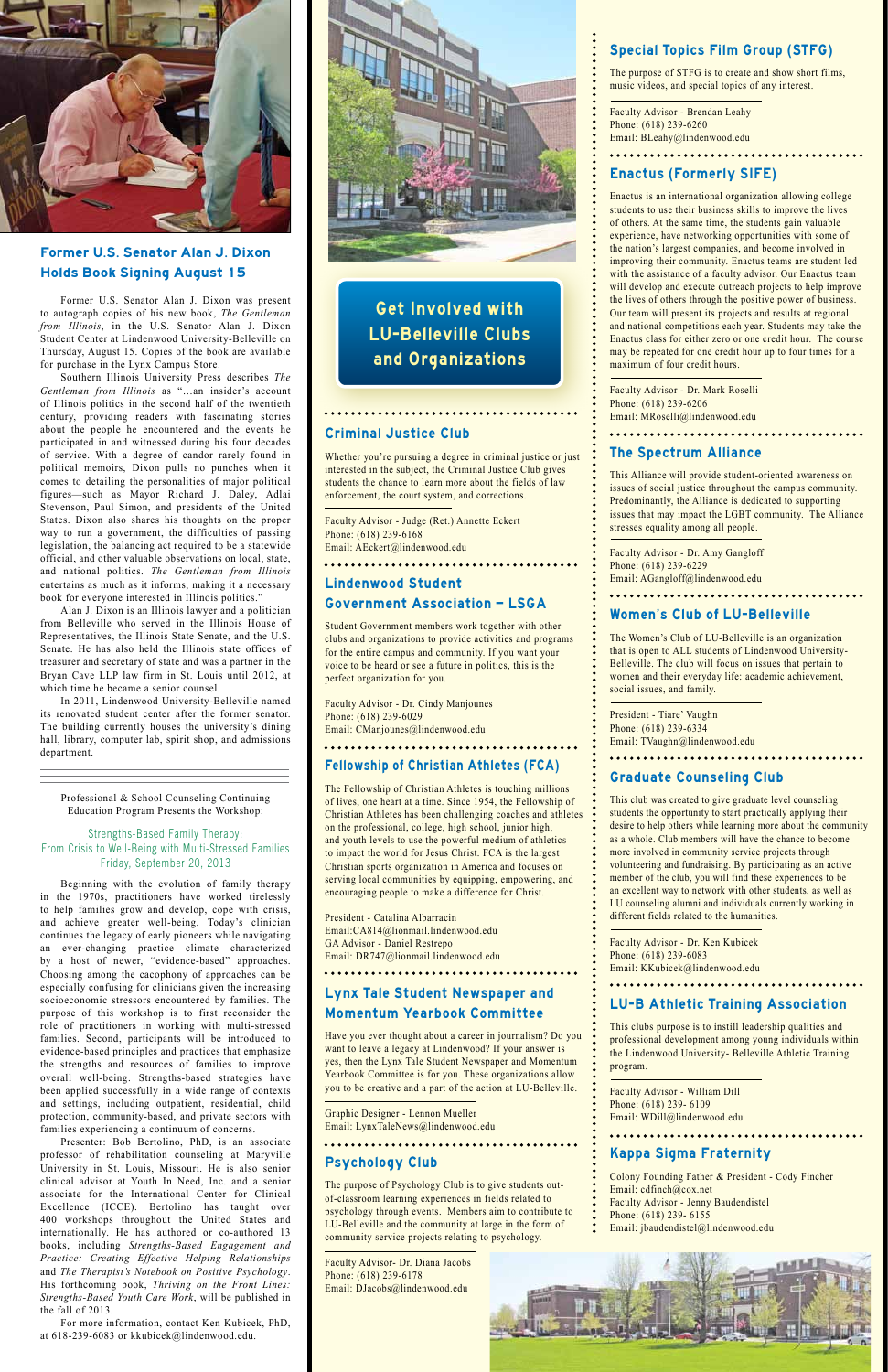#### Criminal Justice Club

Whether you're pursuing a degree in criminal justice or just interested in the subject, the Criminal Justice Club gives students the chance to learn more about the fields of law enforcement, the court system, and corrections.

Faculty Advisor - Judge (Ret.) Annette Eckert Phone: (618) 239-6168 Email: AEckert@lindenwood.edu

#### 

# Lindenwood Student

#### Government Association – LSGA

Student Government members work together with other clubs and organizations to provide activities and programs for the entire campus and community. If you want your voice to be heard or see a future in politics, this is the perfect organization for you.

Faculty Advisor - Dr. Cindy Manjounes Phone: (618) 239-6029 Email: CManjounes@lindenwood.edu

### Fellowship of Christian Athletes (FCA)

The Fellowship of Christian Athletes is touching millions of lives, one heart at a time. Since 1954, the Fellowship of Christian Athletes has been challenging coaches and athletes on the professional, college, high school, junior high, and youth levels to use the powerful medium of athletics to impact the world for Jesus Christ. FCA is the largest Christian sports organization in America and focuses on serving local communities by equipping, empowering, and encouraging people to make a difference for Christ.

President - Catalina Albarracin Email:CA814@lionmail.lindenwood.edu GA Advisor - Daniel Restrepo Email: DR747@lionmail.lindenwood.edu

# 

Lynx Tale Student Newspaper and

#### Momentum Yearbook Committee

Have you ever thought about a career in journalism? Do you want to leave a legacy at Lindenwood? If your answer is yes, then the Lynx Tale Student Newspaper and Momentum Yearbook Committee is for you. These organizations allow you to be creative and a part of the action at LU-Belleville.

Graphic Designer - Lennon Mueller Email: LynxTaleNews@lindenwood.edu

# Psychology Club

The purpose of Psychology Club is to give students outof-classroom learning experiences in fields related to psychology through events. Members aim to contribute to LU-Belleville and the community at large in the form of community service projects relating to psychology.

Faculty Advisor- Dr. Diana Jacobs Phone: (618) 239-6178 Email: DJacobs@lindenwood.edu

### Special Topics Film Group (STFG)

The purpose of STFG is to create and show short films, music videos, and special topics of any interest.

Faculty Advisor - Brendan Leahy Phone: (618) 239-6260 Email: BLeahy@lindenwood.edu

. . . . . . . . . . . . . . . . . . .

## Enactus (Formerly SIFE)

Email: WDill@lindenwood.edu . . . . . . . . . . . . . . . . .

Enactus is an international organization allowing college students to use their business skills to improve the lives of others. At the same time, the students gain valuable experience, have networking opportunities with some of the nation's largest companies, and become involved in improving their community. Enactus teams are student led with the assistance of a faculty advisor. Our Enactus team will develop and execute outreach projects to help improve the lives of others through the positive power of business. Our team will present its projects and results at regional and national competitions each year. Students may take the Enactus class for either zero or one credit hour. The course may be repeated for one credit hour up to four times for a maximum of four credit hours.

Faculty Advisor - Dr. Mark Roselli Phone: (618) 239-6206 Email: MRoselli@lindenwood.edu

#### The Spectrum Alliance

This Alliance will provide student-oriented awareness on issues of social justice throughout the campus community. Predominantly, the Alliance is dedicated to supporting issues that may impact the LGBT community. The Alliance stresses equality among all people.

Faculty Advisor - Dr. Amy Gangloff Phone: (618) 239-6229 Email: AGangloff@lindenwood.edu

. . . . . . . . . . . . . . . . . .

## Women's Club of LU-Belleville

The Women's Club of LU-Belleville is an organization that is open to ALL students of Lindenwood University-Belleville. The club will focus on issues that pertain to women and their everyday life: academic achievement, social issues, and family.

President - Tiare' Vaughn Phone: (618) 239-6334 Email: TVaughn@lindenwood.edu

. . . . . . . . . . . . . . . .

# Graduate Counseling Club

This club was created to give graduate level counseling students the opportunity to start practically applying their desire to help others while learning more about the community as a whole. Club members will have the chance to become more involved in community service projects through volunteering and fundraising. By participating as an active member of the club, you will find these experiences to be an excellent way to network with other students, as well as LU counseling alumni and individuals currently working in different fields related to the humanities.

Faculty Advisor - Dr. Ken Kubicek Phone: (618) 239-6083 Email: KKubicek@lindenwood.edu

#### LU-B Athletic Training Association

This clubs purpose is to instill leadership qualities and professional development among young individuals within the Lindenwood University- Belleville Athletic Training program.

Faculty Advisor - William Dill

Phone: (618) 239- 6109

# Kappa Sigma Fraternity

- Colony Founding Father & President Cody Fincher
- Email: cdfinch@cox.net
- Faculty Advisor Jenny Baudendistel
- Phone: (618) 239- 6155
- Email: jbaudendistel@lindenwood.edu





## Former U.S. Senator Alan J. Dixon Holds Book Signing August 15

Former U.S. Senator Alan J. Dixon was present to autograph copies of his new book, *The Gentleman from Illinois*, in the U.S. Senator Alan J. Dixon Student Center at Lindenwood University-Belleville on Thursday, August 15. Copies of the book are available for purchase in the Lynx Campus Store.

Southern Illinois University Press describes *The Gentleman from Illinois* as "…an insider's account of Illinois politics in the second half of the twentieth century, providing readers with fascinating stories about the people he encountered and the events he participated in and witnessed during his four decades of service. With a degree of candor rarely found in political memoirs, Dixon pulls no punches when it comes to detailing the personalities of major political figures—such as Mayor Richard J. Daley, Adlai Stevenson, Paul Simon, and presidents of the United States. Dixon also shares his thoughts on the proper way to run a government, the difficulties of passing legislation, the balancing act required to be a statewide official, and other valuable observations on local, state, and national politics. *The Gentleman from Illinois* entertains as much as it informs, making it a necessary book for everyone interested in Illinois politics."

Alan J. Dixon is an Illinois lawyer and a politician from Belleville who served in the Illinois House of Representatives, the Illinois State Senate, and the U.S. Senate. He has also held the Illinois state offices of treasurer and secretary of state and was a partner in the Bryan Cave LLP law firm in St. Louis until 2012, at which time he became a senior counsel.

In 2011, Lindenwood University-Belleville named its renovated student center after the former senator. The building currently houses the university's dining hall, library, computer lab, spirit shop, and admissions department.

Professional & School Counseling Continuing Education Program Presents the Workshop:

#### Strengths-Based Family Therapy: From Crisis to Well-Being with Multi-Stressed Families Friday, September 20, 2013

Beginning with the evolution of family therapy in the 1970s, practitioners have worked tirelessly to help families grow and develop, cope with crisis, and achieve greater well-being. Today's clinician continues the legacy of early pioneers while navigating an ever-changing practice climate characterized by a host of newer, "evidence-based" approaches. Choosing among the cacophony of approaches can be especially confusing for clinicians given the increasing socioeconomic stressors encountered by families. The purpose of this workshop is to first reconsider the role of practitioners in working with multi-stressed families. Second, participants will be introduced to evidence-based principles and practices that emphasize the strengths and resources of families to improve overall well-being. Strengths-based strategies have been applied successfully in a wide range of contexts and settings, including outpatient, residential, child protection, community-based, and private sectors with families experiencing a continuum of concerns. Presenter: Bob Bertolino, PhD, is an associate professor of rehabilitation counseling at Maryville University in St. Louis, Missouri. He is also senior clinical advisor at Youth In Need, Inc. and a senior associate for the International Center for Clinical Excellence (ICCE). Bertolino has taught over 400 workshops throughout the United States and internationally. He has authored or co-authored 13 books, including *Strengths-Based Engagement and Practice: Creating Effective Helping Relationships* and *The Therapist's Notebook on Positive Psychology*. His forthcoming book, *Thriving on the Front Lines: Strengths-Based Youth Care Work*, will be published in the fall of 2013. For more information, contact Ken Kubicek, PhD, at 618-239-6083 or kkubicek@lindenwood.edu.



Get Involved with LU-Belleville Clubs and Organizations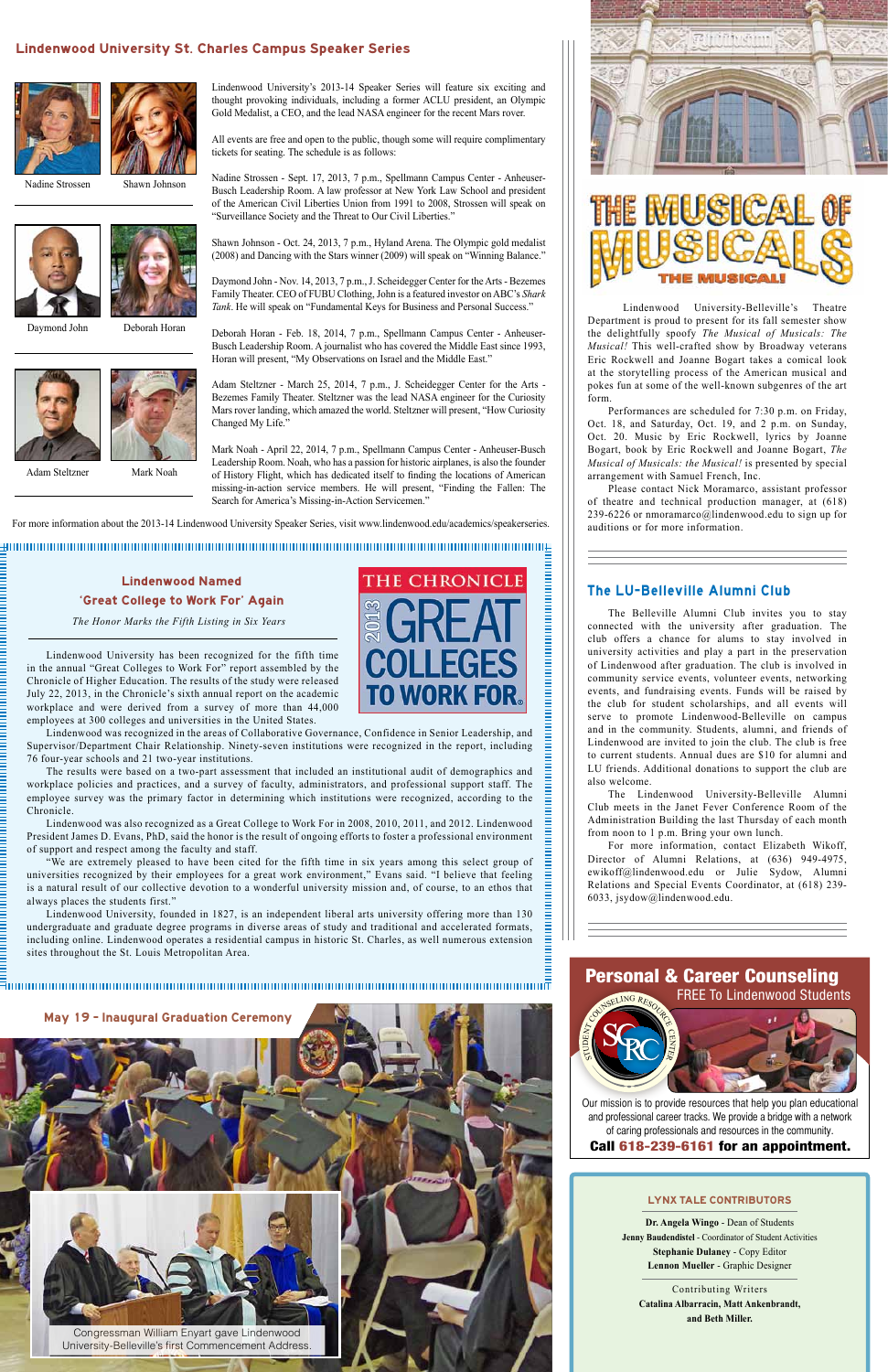Lindenwood University's 2013-14 Speaker Series will feature six exciting and thought provoking individuals, including a former ACLU president, an Olympic Gold Medalist, a CEO, and the lead NASA engineer for the recent Mars rover.

All events are free and open to the public, though some will require complimentary tickets for seating. The schedule is as follows:

Nadine Strossen - Sept. 17, 2013, 7 p.m., Spellmann Campus Center - Anheuser-Busch Leadership Room. A law professor at New York Law School and president of the American Civil Liberties Union from 1991 to 2008, Strossen will speak on "Surveillance Society and the Threat to Our Civil Liberties."

Shawn Johnson - Oct. 24, 2013, 7 p.m., Hyland Arena. The Olympic gold medalist (2008) and Dancing with the Stars winner (2009) will speak on "Winning Balance."

Daymond John - Nov. 14, 2013, 7 p.m., J. Scheidegger Center for the Arts - Bezemes Family Theater. CEO of FUBU Clothing, John is a featured investor on ABC's *Shark Tank*. He will speak on "Fundamental Keys for Business and Personal Success."

Deborah Horan - Feb. 18, 2014, 7 p.m., Spellmann Campus Center - Anheuser-Busch Leadership Room. A journalist who has covered the Middle East since 1993, Horan will present, "My Observations on Israel and the Middle East."

Adam Steltzner - March 25, 2014, 7 p.m., J. Scheidegger Center for the Arts - Bezemes Family Theater. Steltzner was the lead NASA engineer for the Curiosity Mars rover landing, which amazed the world. Steltzner will present, "How Curiosity Changed My Life."

Mark Noah - April 22, 2014, 7 p.m., Spellmann Campus Center - Anheuser-Busch Leadership Room. Noah, who has a passion for historic airplanes, is also the founder of History Flight, which has dedicated itself to finding the locations of American missing-in-action service members. He will present, "Finding the Fallen: The Search for America's Missing-in-Action Servicemen."

 *The Honor Marks the Fifth Listing in Six Years*

Lindenwood University has been recognized for the fifth time in the annual "Great Colleges to Work For" report assembled by the Chronicle of Higher Education. The results of the study were released July 22, 2013, in the Chronicle's sixth annual report on the academic workplace and were derived from a survey of more than 44,000 employees at 300 colleges and universities in the United States.

Lindenwood was recognized in the areas of Collaborative Governance, Confidence in Senior Leadership, and Supervisor/Department Chair Relationship. Ninety-seven institutions were recognized in the report, including 76 four-year schools and 21 two-year institutions.

The results were based on a two-part assessment that included an institutional audit of demographics and workplace policies and practices, and a survey of faculty, administrators, and professional support staff. The employee survey was the primary factor in determining which institutions were recognized, according to the Chronicle.

Lindenwood was also recognized as a Great College to Work For in 2008, 2010, 2011, and 2012. Lindenwood President James D. Evans, PhD, said the honor is the result of ongoing efforts to foster a professional environment of support and respect among the faculty and staff.

"We are extremely pleased to have been cited for the fifth time in six years among this select group of universities recognized by their employees for a great work environment," Evans said. "I believe that feeling is a natural result of our collective devotion to a wonderful university mission and, of course, to an ethos that always places the students first."

Lindenwood University, founded in 1827, is an independent liberal arts university offering more than 130 undergraduate and graduate degree programs in diverse areas of study and traditional and accelerated formats, including online. Lindenwood operates a residential campus in historic St. Charles, as well numerous extension sites throughout the St. Louis Metropolitan Area.







#### Lindenwood Named 'Great College to Work For' Again

#### Lindenwood University St. Charles Campus Speaker Series





**Dr. Angela Wingo** - Dean of Students **Jenny Baudendistel** - Coordinator of Student Activities **Stephanie Dulaney** - Copy Editor **Lennon Mueller** - Graphic Designer

Contributing Writers **Catalina Albarracin, Matt Ankenbrandt, and Beth Miller.**

#### LYNX TALE CONTRIBUTORS

#### The LU-Belleville Alumni Club

The Belleville Alumni Club invites you to stay connected with the university after graduation. The club offers a chance for alums to stay involved in university activities and play a part in the preservation of Lindenwood after graduation. The club is involved in community service events, volunteer events, networking events, and fundraising events. Funds will be raised by the club for student scholarships, and all events will serve to promote Lindenwood-Belleville on campus and in the community. Students, alumni, and friends of Lindenwood are invited to join the club. The club is free to current students. Annual dues are \$10 for alumni and LU friends. Additional donations to support the club are also welcome.

The Lindenwood University-Belleville Alumni Club meets in the Janet Fever Conference Room of the Administration Building the last Thursday of each month from noon to 1 p.m. Bring your own lunch.

For more information, contact Elizabeth Wikoff, Director of Alumni Relations, at (636) 949-4975, ewikoff@lindenwood.edu or Julie Sydow, Alumni Relations and Special Events Coordinator, at (618) 239- 6033, jsydow@lindenwood.edu.

Nadine Strossen



Deborah Horan



Adam Steltzner

Shawn Johnson

Mark Noah

For more information about the 2013-14 Lindenwood University Speaker Series, visit www.lindenwood.edu/academics/speakerseries.

Personal & Career Counseling

FREE To Lindenwood Students

Call 618-239-6161 for an appointment. Our mission is to provide resources that help you plan educational and professional career tracks. We provide a bridge with a network of caring professionals and resources in the community.

STU  $\mathsf{\Omega}$ ENT

inning<br>E







Congressman William Enyart gave Lindenwood University-Belleville's first Commencement Address.

 Lindenwood University-Belleville's Theatre Department is proud to present for its fall semester show the delightfully spoofy *The Musical of Musicals: The Musical!* This well-crafted show by Broadway veterans Eric Rockwell and Joanne Bogart takes a comical look at the storytelling process of the American musical and pokes fun at some of the well-known subgenres of the art form.

Performances are scheduled for 7:30 p.m. on Friday, Oct. 18, and Saturday, Oct. 19, and 2 p.m. on Sunday, Oct. 20. Music by Eric Rockwell, lyrics by Joanne Bogart, book by Eric Rockwell and Joanne Bogart, *The Musical of Musicals: the Musical!* is presented by special arrangement with Samuel French, Inc.

Please contact Nick Moramarco, assistant professor of theatre and technical production manager, at (618) 239-6226 or nmoramarco@lindenwood.edu to sign up for auditions or for more information.